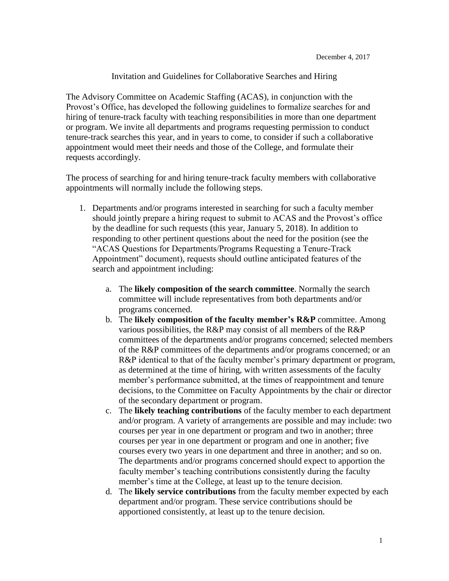## Invitation and Guidelines for Collaborative Searches and Hiring

The Advisory Committee on Academic Staffing (ACAS), in conjunction with the Provost's Office, has developed the following guidelines to formalize searches for and hiring of tenure-track faculty with teaching responsibilities in more than one department or program. We invite all departments and programs requesting permission to conduct tenure-track searches this year, and in years to come, to consider if such a collaborative appointment would meet their needs and those of the College, and formulate their requests accordingly.

The process of searching for and hiring tenure-track faculty members with collaborative appointments will normally include the following steps.

- 1. Departments and/or programs interested in searching for such a faculty member should jointly prepare a hiring request to submit to ACAS and the Provost's office by the deadline for such requests (this year, January 5, 2018). In addition to responding to other pertinent questions about the need for the position (see the "ACAS Questions for Departments/Programs Requesting a Tenure-Track Appointment" document), requests should outline anticipated features of the search and appointment including:
	- a. The **likely composition of the search committee**. Normally the search committee will include representatives from both departments and/or programs concerned.
	- b. The **likely composition of the faculty member's R&P** committee. Among various possibilities, the R&P may consist of all members of the R&P committees of the departments and/or programs concerned; selected members of the R&P committees of the departments and/or programs concerned; or an R&P identical to that of the faculty member's primary department or program, as determined at the time of hiring, with written assessments of the faculty member's performance submitted, at the times of reappointment and tenure decisions, to the Committee on Faculty Appointments by the chair or director of the secondary department or program.
	- c. The **likely teaching contributions** of the faculty member to each department and/or program. A variety of arrangements are possible and may include: two courses per year in one department or program and two in another; three courses per year in one department or program and one in another; five courses every two years in one department and three in another; and so on. The departments and/or programs concerned should expect to apportion the faculty member's teaching contributions consistently during the faculty member's time at the College, at least up to the tenure decision.
	- d. The **likely service contributions** from the faculty member expected by each department and/or program. These service contributions should be apportioned consistently, at least up to the tenure decision.